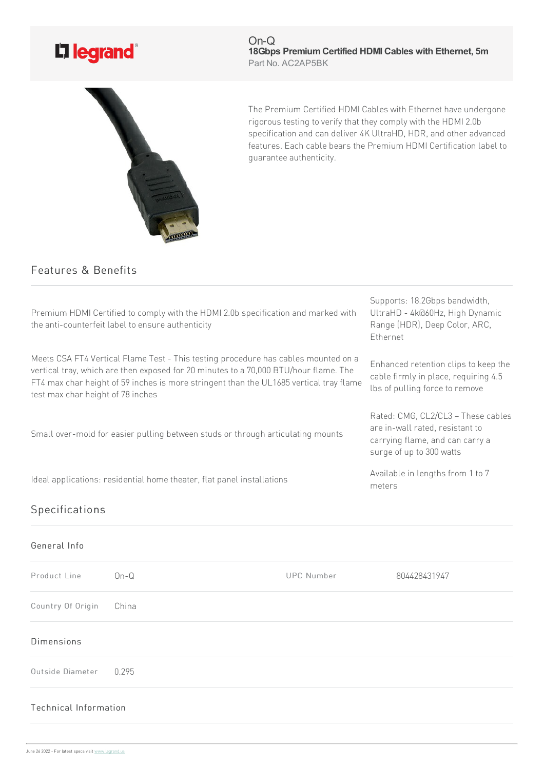

On-Q **18Gbps PremiumCertified HDMI Cables with Ethernet, 5m** Part No. AC2AP5BK



The Premium Certified HDMI Cables with Ethernet have undergone rigorous testing to verify that they comply with the HDMI 2.0b specification and can deliver 4K UltraHD, HDR, and other advanced features. Each cable bears the Premium HDMI Certification label to guarantee authenticity.

## Features & Benefits

| Premium HDMI Certified to comply with the HDMI 2.0b specification and marked with<br>the anti-counterfeit label to ensure authenticity                                                                                                                                                                    | Supports: 18.2Gbps bandwidth,<br>UltraHD - 4k@60Hz, High Dynamic<br>Range (HDR), Deep Color, ARC,<br>Ethernet                        |
|-----------------------------------------------------------------------------------------------------------------------------------------------------------------------------------------------------------------------------------------------------------------------------------------------------------|--------------------------------------------------------------------------------------------------------------------------------------|
| Meets CSA FT4 Vertical Flame Test - This testing procedure has cables mounted on a<br>vertical tray, which are then exposed for 20 minutes to a 70,000 BTU/hour flame. The<br>FT4 max char height of 59 inches is more stringent than the UL1685 vertical tray flame<br>test max char height of 78 inches | Enhanced retention clips to keep the<br>cable firmly in place, requiring 4.5<br>lbs of pulling force to remove                       |
| Small over-mold for easier pulling between studs or through articulating mounts                                                                                                                                                                                                                           | Rated: CMG, CL2/CL3 - These cables<br>are in-wall rated, resistant to<br>carrying flame, and can carry a<br>surge of up to 300 watts |
| Ideal applications: residential home theater, flat panel installations                                                                                                                                                                                                                                    | Available in lengths from 1 to 7<br>meters                                                                                           |
| Specifications                                                                                                                                                                                                                                                                                            |                                                                                                                                      |

| General Info           |        |                   |              |
|------------------------|--------|-------------------|--------------|
| Product Line           | $On-G$ | <b>UPC Number</b> | 804428431947 |
| Country Of Origin      | China  |                   |              |
| <b>Dimensions</b>      |        |                   |              |
| Outside Diameter 0.295 |        |                   |              |
| Technical Information  |        |                   |              |